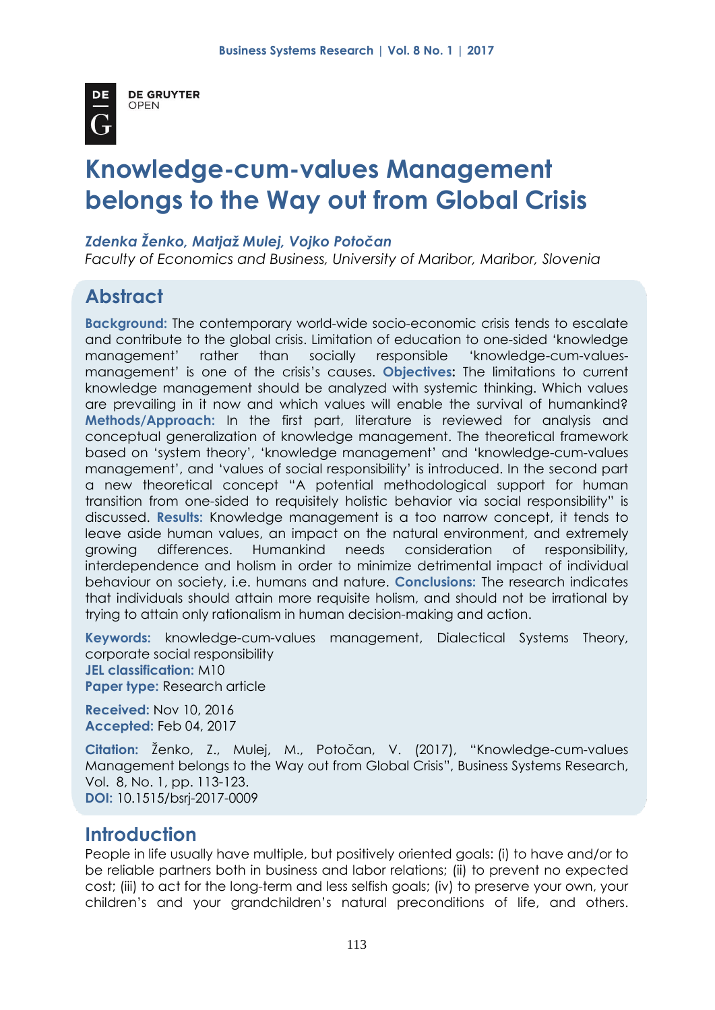

# **Knowledge-cum-values Management belongs to the Way out from Global Crisis**

#### *Zdenka Ženko, Matjaž Mulej, Vojko Potočan*

*Faculty of Economics and Business, University of Maribor, Maribor, Slovenia*

# **Abstract**

**Background:** The contemporary world-wide socio-economic crisis tends to escalate and contribute to the global crisis. Limitation of education to one-sided 'knowledge management' rather than socially responsible 'knowledge-cum-valuesmanagement' is one of the crisis's causes. **Objectives:** The limitations to current knowledge management should be analyzed with systemic thinking. Which values are prevailing in it now and which values will enable the survival of humankind? **Methods/Approach:** In the first part, literature is reviewed for analysis and conceptual generalization of knowledge management. The theoretical framework based on 'system theory', 'knowledge management' and 'knowledge-cum-values management', and 'values of social responsibility' is introduced. In the second part a new theoretical concept "A potential methodological support for human transition from one-sided to requisitely holistic behavior via social responsibility" is discussed. **Results:** Knowledge management is a too narrow concept, it tends to leave aside human values, an impact on the natural environment, and extremely growing differences. Humankind needs consideration of responsibility, interdependence and holism in order to minimize detrimental impact of individual behaviour on society, i.e. humans and nature. **Conclusions:** The research indicates that individuals should attain more requisite holism, and should not be irrational by trying to attain only rationalism in human decision-making and action.

**Keywords:** knowledge-cum-values management, Dialectical Systems Theory, corporate social responsibility **JEL classification:** M10 **Paper type:** Research article

**Received:** Nov 10, 2016 **Accepted:** Feb 04, 2017

**Citation:** Ženko, Z., Mulej, M., Potočan, V. (2017), "Knowledge-cum-values Management belongs to the Way out from Global Crisis", Business Systems Research, Vol. 8, No. 1, pp. 113-123. **DOI:** 10.1515/bsrj-2017-0009

# **Introduction**

People in life usually have multiple, but positively oriented goals: (i) to have and/or to be reliable partners both in business and labor relations; (ii) to prevent no expected cost; (iii) to act for the long-term and less selfish goals; (iv) to preserve your own, your children's and your grandchildren's natural preconditions of life, and others.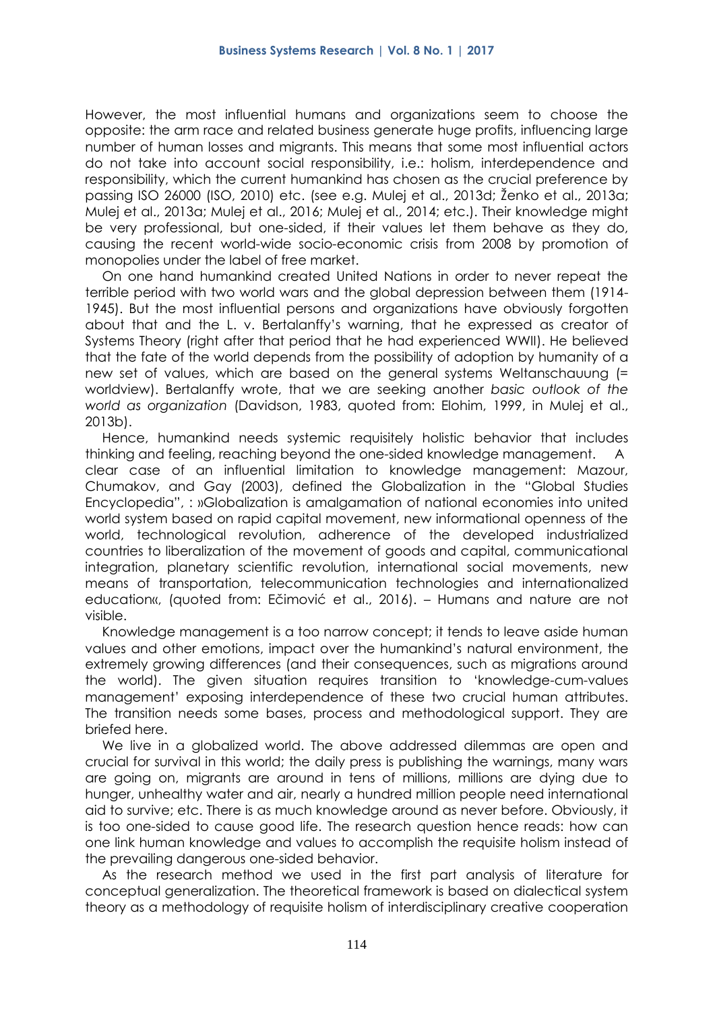However, the most influential humans and organizations seem to choose the opposite: the arm race and related business generate huge profits, influencing large number of human losses and migrants. This means that some most influential actors do not take into account social responsibility, i.e.: holism, interdependence and responsibility, which the current humankind has chosen as the crucial preference by passing ISO 26000 (ISO, 2010) etc. (see e.g. Mulej et al., 2013d; Ženko et al., 2013a; Mulej et al., 2013a; Mulej et al., 2016; Mulej et al., 2014; etc.). Their knowledge might be very professional, but one-sided, if their values let them behave as they do, causing the recent world-wide socio-economic crisis from 2008 by promotion of monopolies under the label of free market.

On one hand humankind created United Nations in order to never repeat the terrible period with two world wars and the global depression between them (1914- 1945). But the most influential persons and organizations have obviously forgotten about that and the L. v. Bertalanffy's warning, that he expressed as creator of Systems Theory (right after that period that he had experienced WWII). He believed that the fate of the world depends from the possibility of adoption by humanity of a new set of values, which are based on the general systems Weltanschauung (= worldview). Bertalanffy wrote, that we are seeking another *basic outlook of the world as organization* (Davidson, 1983, quoted from: Elohim, 1999, in Mulej et al., 2013b).

Hence, humankind needs systemic requisitely holistic behavior that includes thinking and feeling, reaching beyond the one-sided knowledge management. A clear case of an influential limitation to knowledge management: Mazour, Chumakov, and Gay (2003), defined the Globalization in the "Global Studies Encyclopedia", : »Globalization is amalgamation of national economies into united world system based on rapid capital movement, new informational openness of the world, technological revolution, adherence of the developed industrialized countries to liberalization of the movement of goods and capital, communicational integration, planetary scientific revolution, international social movements, new means of transportation, telecommunication technologies and internationalized education«, (quoted from: Ečimović et al., 2016). – Humans and nature are not visible.

Knowledge management is a too narrow concept; it tends to leave aside human values and other emotions, impact over the humankind's natural environment, the extremely growing differences (and their consequences, such as migrations around the world). The given situation requires transition to 'knowledge-cum-values management' exposing interdependence of these two crucial human attributes. The transition needs some bases, process and methodological support. They are briefed here.

We live in a globalized world. The above addressed dilemmas are open and crucial for survival in this world; the daily press is publishing the warnings, many wars are going on, migrants are around in tens of millions, millions are dying due to hunger, unhealthy water and air, nearly a hundred million people need international aid to survive; etc. There is as much knowledge around as never before. Obviously, it is too one-sided to cause good life. The research question hence reads: how can one link human knowledge and values to accomplish the requisite holism instead of the prevailing dangerous one-sided behavior.

As the research method we used in the first part analysis of literature for conceptual generalization. The theoretical framework is based on dialectical system theory as a methodology of requisite holism of interdisciplinary creative cooperation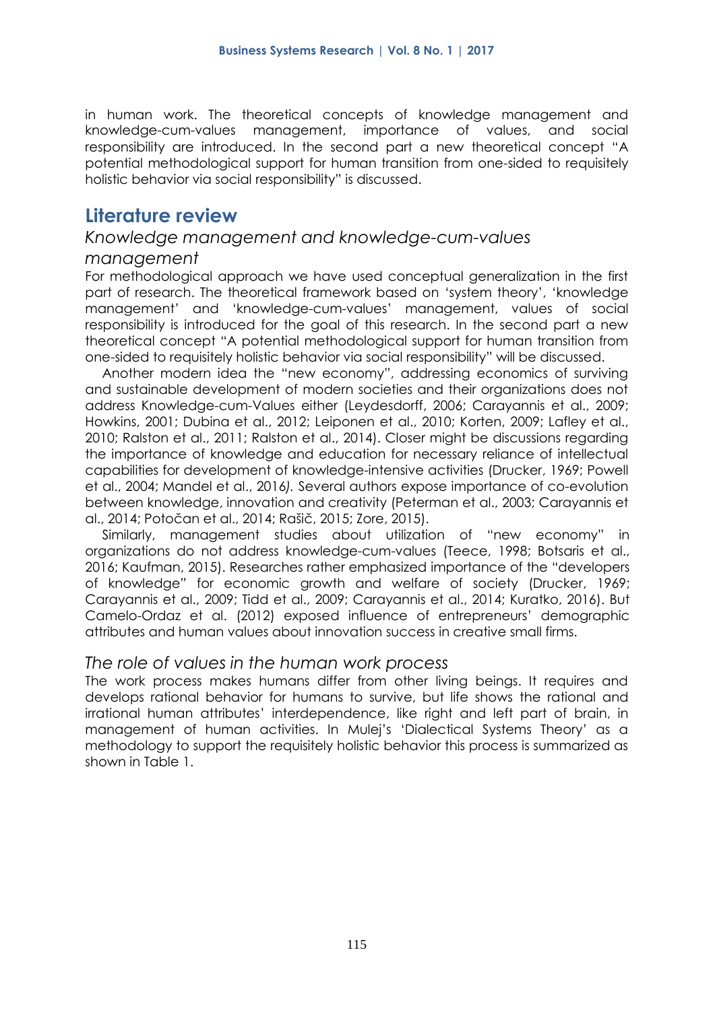in human work. The theoretical concepts of knowledge management and knowledge-cum-values management, importance of values, and social responsibility are introduced. In the second part a new theoretical concept "A potential methodological support for human transition from one-sided to requisitely holistic behavior via social responsibility" is discussed.

# **Literature review**

#### *Knowledge management and knowledge-cum-values*

#### *management*

For methodological approach we have used conceptual generalization in the first part of research. The theoretical framework based on 'system theory', 'knowledge management' and 'knowledge-cum-values' management, values of social responsibility is introduced for the goal of this research. In the second part a new theoretical concept "A potential methodological support for human transition from one-sided to requisitely holistic behavior via social responsibility" will be discussed.

Another modern idea the "new economy", addressing economics of surviving and sustainable development of modern societies and their organizations does not address Knowledge-cum-Values either (Leydesdorff, 2006; Carayannis et al., 2009; Howkins, 2001; Dubina et al., 2012; Leiponen et al., 2010; Korten, 2009; Lafley et al., 2010; Ralston et al., 2011; Ralston et al., 2014). Closer might be discussions regarding the importance of knowledge and education for necessary reliance of intellectual capabilities for development of knowledge-intensive activities (Drucker, 1969; Powell et al., 2004; Mandel et al., 2016*).* Several authors expose importance of co-evolution between knowledge, innovation and creativity (Peterman et al., 2003; Carayannis et al., 2014; Potočan et al., 2014; Rašič, 2015; Zore, 2015).

Similarly, management studies about utilization of "new economy" in organizations do not address knowledge-cum-values (Teece, 1998; Botsaris et al., 2016; Kaufman, 2015). Researches rather emphasized importance of the "developers of knowledge" for economic growth and welfare of society (Drucker, 1969; Carayannis et al., 2009; Tidd et al., 2009; Carayannis et al., 2014; Kuratko, 2016). But Camelo-Ordaz et al. (2012) exposed influence of entrepreneurs' demographic attributes and human values about innovation success in creative small firms.

#### *The role of values in the human work process*

The work process makes humans differ from other living beings. It requires and develops rational behavior for humans to survive, but life shows the rational and irrational human attributes' interdependence, like right and left part of brain, in management of human activities. In Mulej's 'Dialectical Systems Theory' as a methodology to support the requisitely holistic behavior this process is summarized as shown in Table 1.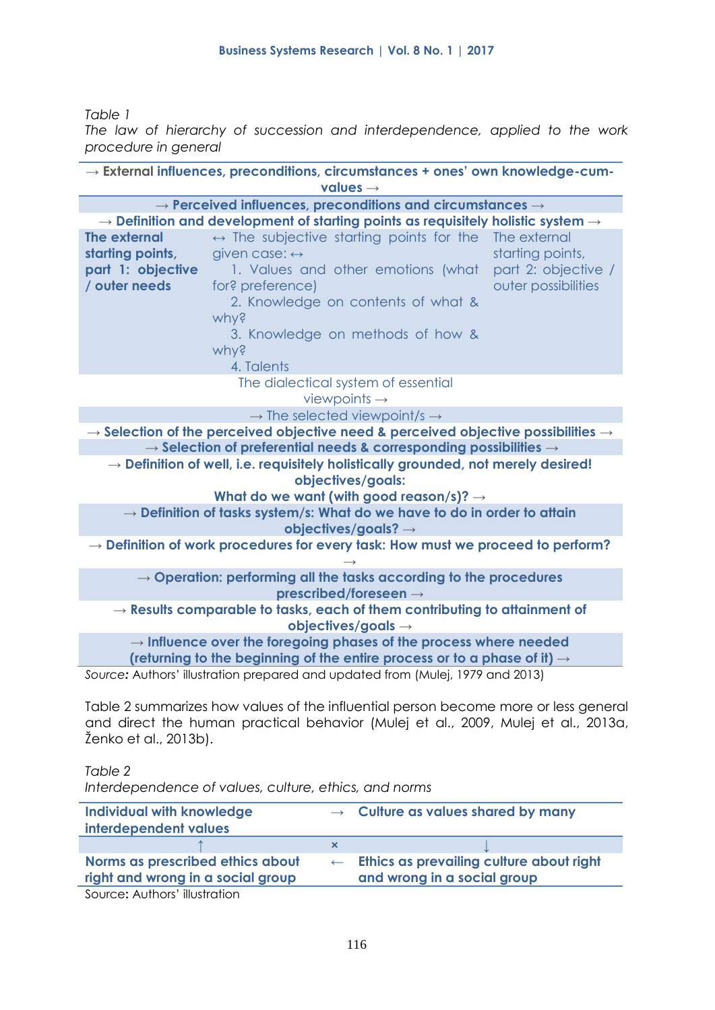*Table 1*

*The law of hierarchy of succession and interdependence, applied to the work procedure in general*

**→ External influences, preconditions, circumstances + ones' own knowledge-cumvalues → → Perceived influences, preconditions and circumstances → → Definition and development of starting points as requisitely holistic system → The external starting points, part 1: objective / outer needs**  $\leftrightarrow$  The subjective starting points for the The external given case: ↔ 1. Values and other emotions (what for? preference) 2. Knowledge on contents of what & why? 3. Knowledge on methods of how & why? 4. Talents starting points, part 2: objective / outer possibilities The dialectical system of essential viewpoints **→ →** The selected viewpoint/s **→ → Selection of the perceived objective need & perceived objective possibilities → → Selection of preferential needs & corresponding possibilities →** → **Definition of well, i.e. requisitely holistically grounded, not merely desired! objectives/goals: What do we want (with good reason/s)? → → Definition of tasks system/s: What do we have to do in order to attain objectives/goals? → → Definition of work procedures for every task: How must we proceed to perform? → → Operation: performing all the tasks according to the procedures prescribed/foreseen → → Results comparable to tasks, each of them contributing to attainment of objectives/goals → → Influence over the foregoing phases of the process where needed (returning to the beginning of the entire process or to a phase of it) →** *Source:* Authors' illustration prepared and updated from (Mulej, 1979 and 2013)

Table 2 summarizes how values of the influential person become more or less general and direct the human practical behavior (Mulej et al., 2009, Mulej et al., 2013a, Ženko et al., 2013b).

*Table 2*

*Interdependence of values, culture, ethics, and norms*

| <b>Individual with knowledge</b><br>interdependent values             | $\rightarrow$ Culture as values shared by many                                       |
|-----------------------------------------------------------------------|--------------------------------------------------------------------------------------|
|                                                                       |                                                                                      |
| Norms as prescribed ethics about<br>right and wrong in a social group | $\leftarrow$ Ethics as prevailing culture about right<br>and wrong in a social group |
| Source: Authors' illustration                                         |                                                                                      |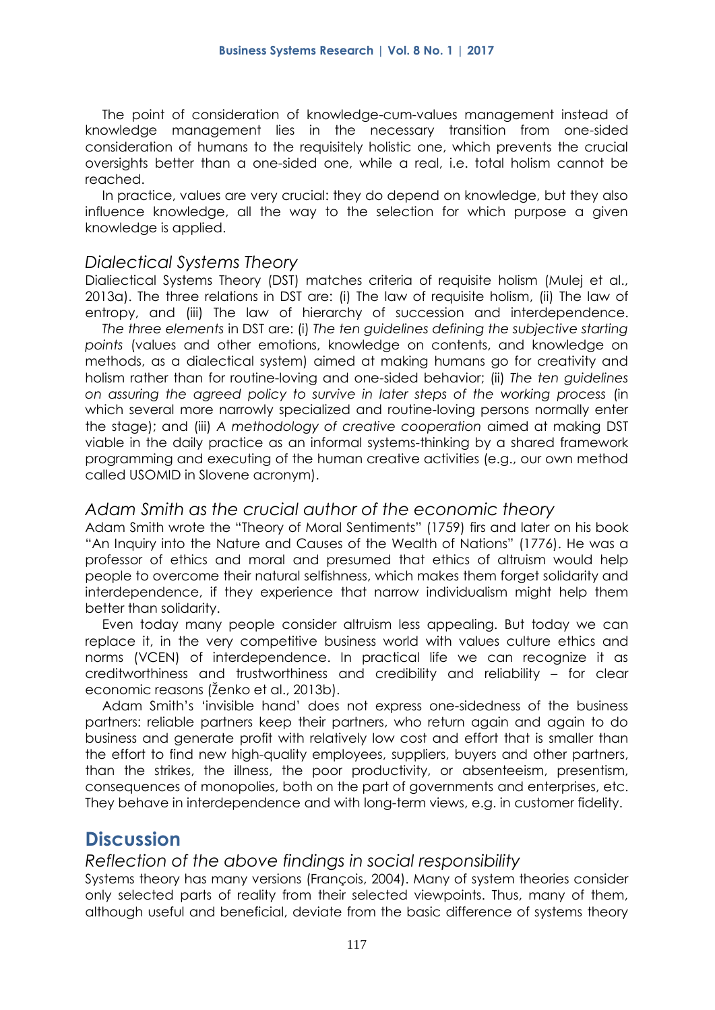The point of consideration of knowledge-cum-values management instead of knowledge management lies in the necessary transition from one-sided consideration of humans to the requisitely holistic one, which prevents the crucial oversights better than a one-sided one, while a real, i.e. total holism cannot be reached.

In practice, values are very crucial: they do depend on knowledge, but they also influence knowledge, all the way to the selection for which purpose a given knowledge is applied.

#### *Dialectical Systems Theory*

Dialiectical Systems Theory (DST) matches criteria of requisite holism (Mulej et al., 2013a). The three relations in DST are: (i) The law of requisite holism, (ii) The law of entropy, and (iii) The law of hierarchy of succession and interdependence.

*The three elements* in DST are: (i) *The ten guidelines defining the subjective starting points* (values and other emotions, knowledge on contents, and knowledge on methods, as a dialectical system) aimed at making humans go for creativity and holism rather than for routine-loving and one-sided behavior; (ii) *The ten guidelines on assuring the agreed policy to survive in later steps of the working process* (in which several more narrowly specialized and routine-loving persons normally enter the stage); and (iii) *A methodology of creative cooperation* aimed at making DST viable in the daily practice as an informal systems-thinking by a shared framework programming and executing of the human creative activities (e.g., our own method called USOMID in Slovene acronym).

#### *Adam Smith as the crucial author of the economic theory*

Adam Smith wrote the "Theory of Moral Sentiments" (1759) firs and later on his book "An Inquiry into the Nature and Causes of the Wealth of Nations" (1776). He was a professor of ethics and moral and presumed that ethics of altruism would help people to overcome their natural selfishness, which makes them forget solidarity and interdependence, if they experience that narrow individualism might help them better than solidarity.

Even today many people consider altruism less appealing. But today we can replace it, in the very competitive business world with values culture ethics and norms (VCEN) of interdependence. In practical life we can recognize it as creditworthiness and trustworthiness and credibility and reliability – for clear economic reasons (Ženko et al., 2013b).

Adam Smith's 'invisible hand' does not express one-sidedness of the business partners: reliable partners keep their partners, who return again and again to do business and generate profit with relatively low cost and effort that is smaller than the effort to find new high-quality employees, suppliers, buyers and other partners, than the strikes, the illness, the poor productivity, or absenteeism, presentism, consequences of monopolies, both on the part of governments and enterprises, etc. They behave in interdependence and with long-term views, e.g. in customer fidelity.

### **Discussion**

#### *Reflection of the above findings in social responsibility*

Systems theory has many versions (François, 2004). Many of system theories consider only selected parts of reality from their selected viewpoints. Thus, many of them, although useful and beneficial, deviate from the basic difference of systems theory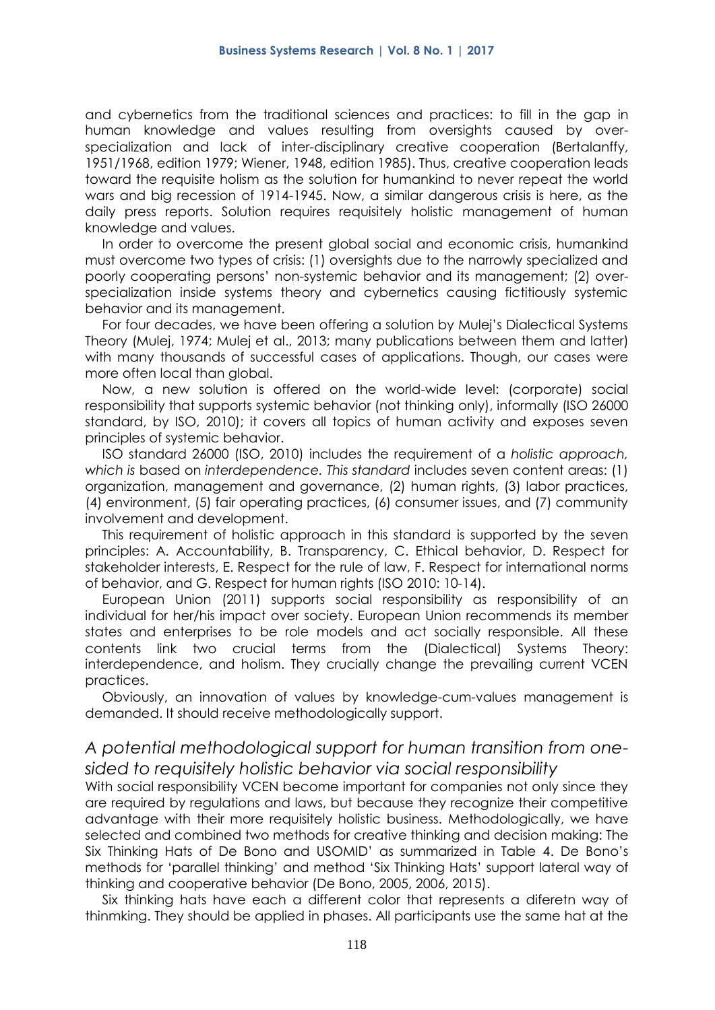and cybernetics from the traditional sciences and practices: to fill in the gap in human knowledge and values resulting from oversights caused by overspecialization and lack of inter-disciplinary creative cooperation (Bertalanffy, 1951/1968, edition 1979; Wiener, 1948, edition 1985). Thus, creative cooperation leads toward the requisite holism as the solution for humankind to never repeat the world wars and big recession of 1914-1945. Now, a similar dangerous crisis is here, as the daily press reports. Solution requires requisitely holistic management of human knowledge and values.

In order to overcome the present global social and economic crisis, humankind must overcome two types of crisis: (1) oversights due to the narrowly specialized and poorly cooperating persons' non-systemic behavior and its management; (2) overspecialization inside systems theory and cybernetics causing fictitiously systemic behavior and its management.

For four decades, we have been offering a solution by Mulej's Dialectical Systems Theory (Mulej, 1974; Mulej et al., 2013; many publications between them and latter) with many thousands of successful cases of applications. Though, our cases were more often local than global.

Now, a new solution is offered on the world-wide level: (corporate) social responsibility that supports systemic behavior (not thinking only), informally (ISO 26000 standard, by ISO, 2010); it covers all topics of human activity and exposes seven principles of systemic behavior.

ISO standard 26000 (ISO, 2010) includes the requirement of a *holistic approach, which is* based on *interdependence. This standard* includes seven content areas: (1) organization, management and governance, (2) human rights, (3) labor practices, (4) environment, (5) fair operating practices, (6) consumer issues, and (7) community involvement and development.

This requirement of holistic approach in this standard is supported by the seven principles: A. Accountability, B. Transparency, C. Ethical behavior, D. Respect for stakeholder interests, E. Respect for the rule of law, F. Respect for international norms of behavior, and G. Respect for human rights (ISO 2010: 10-14).

European Union (2011) supports social responsibility as responsibility of an individual for her/his impact over society. European Union recommends its member states and enterprises to be role models and act socially responsible. All these contents link two crucial terms from the (Dialectical) Systems Theory: interdependence, and holism. They crucially change the prevailing current VCEN practices.

Obviously, an innovation of values by knowledge-cum-values management is demanded. It should receive methodologically support.

#### *A potential methodological support for human transition from onesided to requisitely holistic behavior via social responsibility*

With social responsibility VCEN become important for companies not only since they are required by regulations and laws, but because they recognize their competitive advantage with their more requisitely holistic business. Methodologically, we have selected and combined two methods for creative thinking and decision making: The Six Thinking Hats of De Bono and USOMID' as summarized in Table 4. De Bono's methods for 'parallel thinking' and method 'Six Thinking Hats' support lateral way of thinking and cooperative behavior (De Bono, 2005, 2006, 2015).

Six thinking hats have each a different color that represents a diferetn way of thinmking. They should be applied in phases. All participants use the same hat at the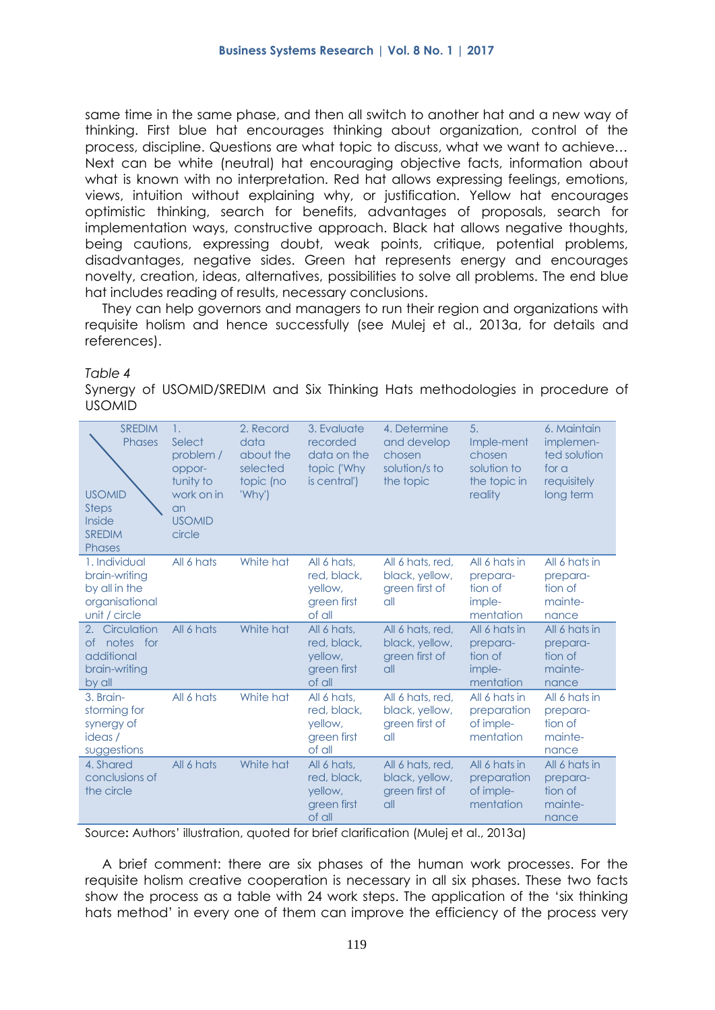same time in the same phase, and then all switch to another hat and a new way of thinking. First blue hat encourages thinking about organization, control of the process, discipline. Questions are what topic to discuss, what we want to achieve… Next can be white (neutral) hat encouraging objective facts, information about what is known with no interpretation. Red hat allows expressing feelings, emotions, views, intuition without explaining why, or justification. Yellow hat encourages optimistic thinking, search for benefits, advantages of proposals, search for implementation ways, constructive approach. Black hat allows negative thoughts, being cautions, expressing doubt, weak points, critique, potential problems, disadvantages, negative sides. Green hat represents energy and encourages novelty, creation, ideas, alternatives, possibilities to solve all problems. The end blue hat includes reading of results, necessary conclusions.

They can help governors and managers to run their region and organizations with requisite holism and hence successfully (see Mulej et al., 2013a, for details and references).

*Table 4*

Synergy of USOMID/SREDIM and Six Thinking Hats methodologies in procedure of USOMID

| <b>SREDIM</b><br><b>Phases</b><br><b>USOMID</b><br><b>Steps</b><br>Inside<br><b>SREDIM</b><br><b>Phases</b> | 1.<br>Select<br>problem /<br>oppor-<br>tunity to<br>work on in<br>an<br><b>USOMID</b><br>circle | 2. Record<br>data<br>about the<br>selected<br>topic (no<br>'Why') | 3. Evaluate<br>recorded<br>data on the<br>topic ('Why<br>is central') | 4. Determine<br>and develop<br>chosen<br>solution/s to<br>the topic | 5.<br>Imple-ment<br>chosen<br>solution to<br>the topic in<br>reality | 6. Maintain<br>implemen-<br>ted solution<br>for $\alpha$<br>requisitely<br>long term |
|-------------------------------------------------------------------------------------------------------------|-------------------------------------------------------------------------------------------------|-------------------------------------------------------------------|-----------------------------------------------------------------------|---------------------------------------------------------------------|----------------------------------------------------------------------|--------------------------------------------------------------------------------------|
| 1. Individual<br>brain-writing<br>by all in the<br>organisational<br>unit / circle                          | All 6 hats                                                                                      | White hat                                                         | All 6 hats,<br>red, black,<br>yellow,<br>green first<br>of all        | All 6 hats, red,<br>black, yellow,<br>green first of<br>all         | All 6 hats in<br>prepara-<br>tion of<br>imple-<br>mentation          | All 6 hats in<br>prepara-<br>tion of<br>mainte-<br>nance                             |
| Circulation<br>2.<br>notes for<br>Оf<br>additional<br>brain-writing<br>by all                               | All 6 hats                                                                                      | White hat                                                         | All 6 hats,<br>red, black,<br>yellow,<br>green first<br>of all        | All 6 hats, red,<br>black, yellow,<br>green first of<br>Q           | All 6 hats in<br>prepara-<br>tion of<br>imple-<br>mentation          | All 6 hats in<br>prepara-<br>tion of<br>mainte-<br>nance                             |
| 3. Brain-<br>storming for<br>synergy of<br>ideas /<br>suggestions                                           | All 6 hats                                                                                      | White hat                                                         | All 6 hats,<br>red, black,<br>yellow,<br>green first<br>of all        | All 6 hats, red,<br>black, yellow,<br>green first of<br>all         | All 6 hats in<br>preparation<br>of imple-<br>mentation               | All 6 hats in<br>prepara-<br>tion of<br>mainte-<br>nance                             |
| 4. Shared<br>conclusions of<br>the circle                                                                   | All 6 hats                                                                                      | White hat                                                         | All 6 hats,<br>red, black,<br>yellow,<br>green first<br>of all        | All 6 hats, red,<br>black, yellow,<br>green first of<br>all         | All 6 hats in<br>preparation<br>of imple-<br>mentation               | All 6 hats in<br>prepara-<br>tion of<br>mainte-<br>nance                             |

Source**:** Authors' illustration, quoted for brief clarification (Mulej et al., 2013a)

A brief comment: there are six phases of the human work processes. For the requisite holism creative cooperation is necessary in all six phases. These two facts show the process as a table with 24 work steps. The application of the 'six thinking hats method' in every one of them can improve the efficiency of the process very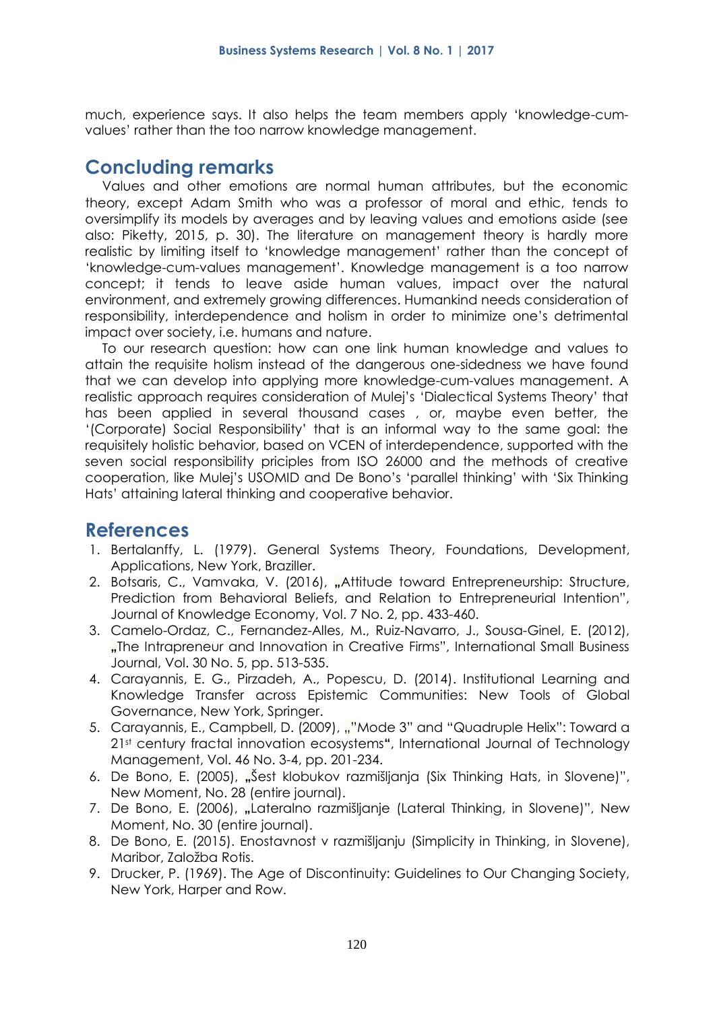much, experience says. It also helps the team members apply 'knowledge-cumvalues' rather than the too narrow knowledge management.

### **Concluding remarks**

Values and other emotions are normal human attributes, but the economic theory, except Adam Smith who was a professor of moral and ethic, tends to oversimplify its models by averages and by leaving values and emotions aside (see also: Piketty, 2015, p. 30). The literature on management theory is hardly more realistic by limiting itself to 'knowledge management' rather than the concept of 'knowledge-cum-values management'. Knowledge management is a too narrow concept; it tends to leave aside human values, impact over the natural environment, and extremely growing differences. Humankind needs consideration of responsibility, interdependence and holism in order to minimize one's detrimental impact over society, i.e. humans and nature.

To our research question: how can one link human knowledge and values to attain the requisite holism instead of the dangerous one-sidedness we have found that we can develop into applying more knowledge-cum-values management. A realistic approach requires consideration of Mulej's 'Dialectical Systems Theory' that has been applied in several thousand cases , or, maybe even better, the '(Corporate) Social Responsibility' that is an informal way to the same goal: the requisitely holistic behavior, based on VCEN of interdependence, supported with the seven social responsibility priciples from ISO 26000 and the methods of creative cooperation, like Mulej's USOMID and De Bono's 'parallel thinking' with 'Six Thinking Hats' attaining lateral thinking and cooperative behavior.

# **References**

- 1. Bertalanffy, L. (1979). General Systems Theory, Foundations, Development, Applications, New York, Braziller.
- 2. Botsaris, C., Vamvaka, V. (2016), **"**Attitude toward Entrepreneurship: Structure, Prediction from Behavioral Beliefs, and Relation to Entrepreneurial Intention", Journal of Knowledge Economy, Vol. 7 No. 2, pp. 433-460.
- 3. Camelo-Ordaz, C., Fernandez-Alles, M., Ruiz-Navarro, J., Sousa-Ginel, E. (2012), **"**The Intrapreneur and Innovation in Creative Firms", International Small Business Journal, Vol. 30 No. 5, pp. 513-535.
- 4. Carayannis, E. G., Pirzadeh, A., Popescu, D. (2014). Institutional Learning and Knowledge Transfer across Epistemic Communities: New Tools of Global Governance, New York, Springer.
- 5. Carayannis, E., Campbell, D. (2009), ""Mode 3" and "Quadruple Helix": Toward a 21st century fractal innovation ecosystems**"**, International Journal of Technology Management, Vol. 46 No. 3-4, pp. 201-234.
- 6. De Bono, E. (2005), **"**Šest klobukov razmišljanja (Six Thinking Hats, in Slovene)", New Moment, No. 28 (entire journal).
- 7. De Bono, E. (2006), **"**Lateralno razmišljanje (Lateral Thinking, in Slovene)", New Moment, No. 30 (entire journal).
- 8. De Bono, E. (2015). Enostavnost v razmišljanju (Simplicity in Thinking, in Slovene), Maribor, Založba Rotis.
- 9. Drucker, P. (1969). The Age of Discontinuity: Guidelines to Our Changing Society, New York, Harper and Row.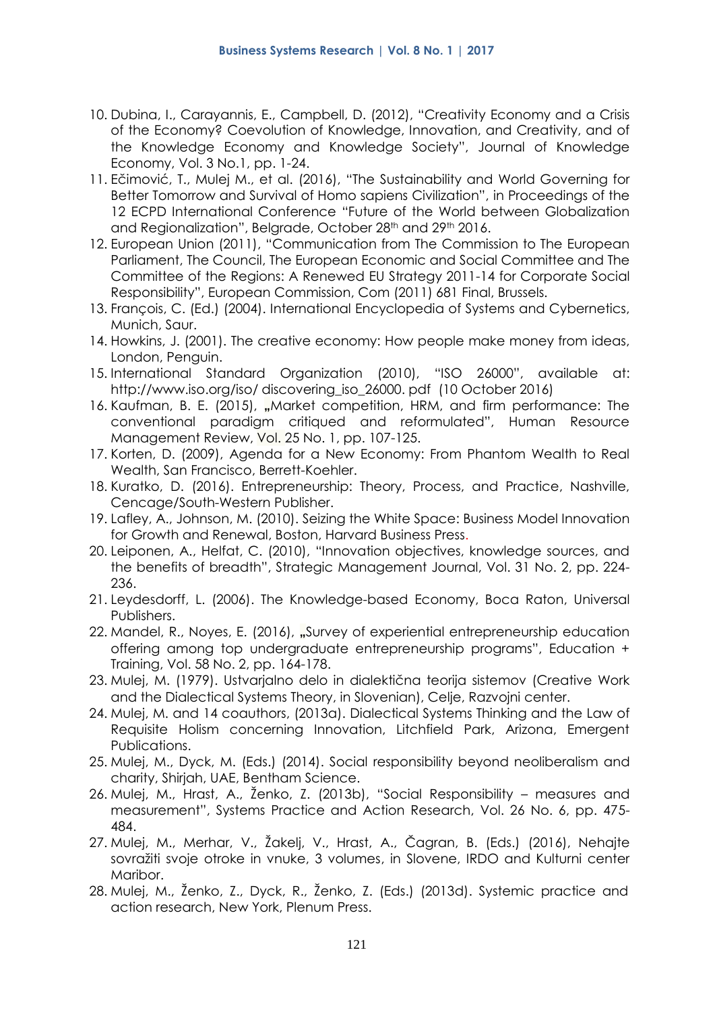- 10. Dubina, I., Carayannis, E., Campbell, D. (2012), "Creativity Economy and a Crisis of the Economy? Coevolution of Knowledge, Innovation, and Creativity, and of the Knowledge Economy and Knowledge Society", Journal of Knowledge Economy, Vol. 3 No.1, pp. 1-24.
- 11. Ečimović, T., Mulej M., et al. (2016), "The Sustainability and World Governing for Better Tomorrow and Survival of Homo sapiens Civilization", in Proceedings of the 12 ECPD International Conference "Future of the World between Globalization and Regionalization", Belgrade, October 28<sup>th</sup> and 29<sup>th</sup> 2016.
- 12. European Union (2011), "Communication from The Commission to The European Parliament, The Council, The European Economic and Social Committee and The Committee of the Regions: A Renewed EU Strategy 2011-14 for Corporate Social Responsibility", European Commission, Com (2011) 681 Final, Brussels.
- 13. François, C. (Ed.) (2004). International Encyclopedia of Systems and Cybernetics, Munich, Saur.
- 14. Howkins, J. (2001). The creative economy: How people make money from ideas, London, Penguin.
- 15. International Standard Organization (2010), "ISO 26000", available at: http://www.iso.org/iso/discovering\_iso\_26000. pdf (10 October 2016)
- 16. Kaufman, B. E. (2015), **"**Market competition, HRM, and firm performance: The conventional paradigm critiqued and reformulated", Human Resource Management Review, Vol. 25 No. 1, pp. 107-125.
- 17. Korten, D. (2009), Agenda for a New Economy: From Phantom Wealth to Real Wealth, San Francisco, Berrett-Koehler.
- 18. Kuratko, D. (2016). Entrepreneurship: Theory, Process, and Practice, Nashville, Cencage/South-Western Publisher.
- 19. Lafley, A., Johnson, M. (2010). Seizing the White Space: Business Model Innovation for Growth and Renewal, Boston, Harvard Business Press.
- 20. Leiponen, A., Helfat, C. (2010), "Innovation objectives, knowledge sources, and the benefits of breadth", Strategic Management Journal, Vol. 31 No. 2, pp. 224- 236.
- 21. Leydesdorff, L. (2006). The Knowledge-based Economy, Boca Raton, Universal Publishers.
- 22. Mandel, R., Noyes, E. (2016), **"**Survey of experiential entrepreneurship education offering among top undergraduate entrepreneurship programs", Education + Training, Vol. 58 No. 2, pp. 164-178.
- 23. Mulej, M. (1979). Ustvarjalno delo in dialektična teorija sistemov (Creative Work and the Dialectical Systems Theory, in Slovenian), Celje, Razvojni center.
- 24. Mulej, M. and 14 coauthors, (2013a). Dialectical Systems Thinking and the Law of Requisite Holism concerning Innovation, Litchfield Park, Arizona, Emergent Publications.
- 25. Mulej, M., Dyck, M. (Eds.) (2014). Social responsibility beyond neoliberalism and charity, Shirjah, UAE, Bentham Science.
- 26. Mulej, M., Hrast, A., Ženko, Z. (2013b), "Social Responsibility measures and measurement", Systems Practice and Action Research, Vol. 26 No. 6, pp. 475- 484.
- 27. Mulej, M., Merhar, V., Žakelj, V., Hrast, A., Čagran, B. (Eds.) (2016), Nehajte sovražiti svoje otroke in vnuke, 3 volumes, in Slovene, IRDO and Kulturni center Maribor.
- 28. Mulej, M., Ženko, Z., Dyck, R., Ženko, Z. (Eds.) (2013d). Systemic practice and action research, New York, Plenum Press.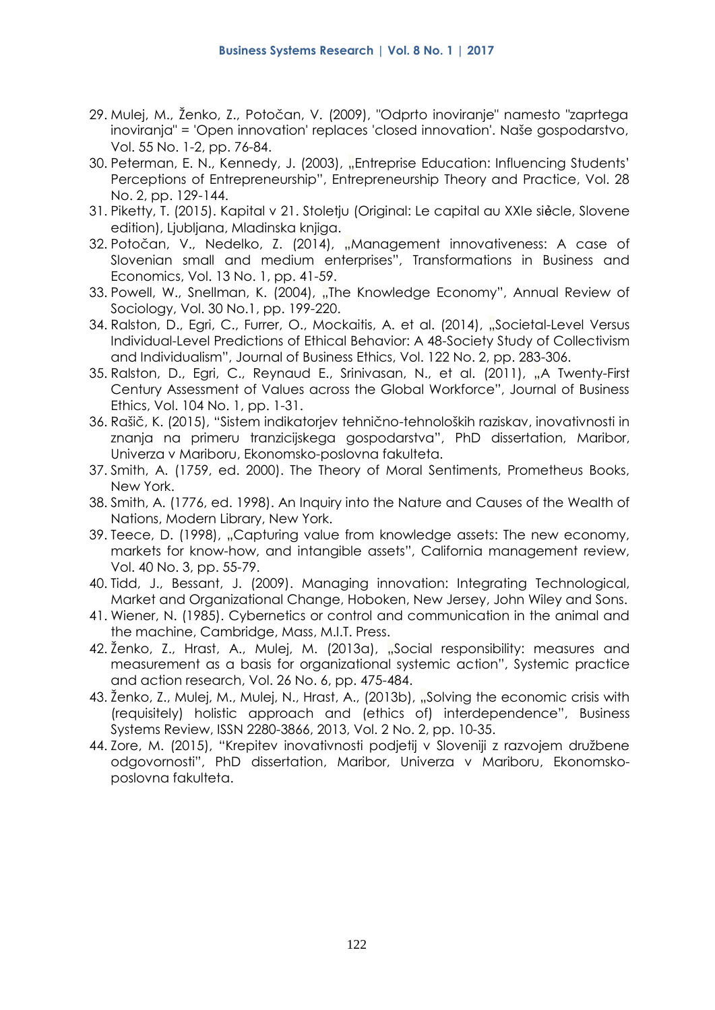- 29. Mulej, M., Ženko, Z., Potočan, V. (2009), "Odprto inoviranje" namesto "zaprtega inoviranja" = 'Open innovation' replaces 'closed innovation'. Naše gospodarstvo, Vol. 55 No. 1-2, pp. 76-84.
- 30. Peterman, E. N., Kennedy, J. (2003), "Entreprise Education: Influencing Students' Perceptions of Entrepreneurship", Entrepreneurship Theory and Practice, Vol. 28 No. 2, pp. 129-144.
- 31. Piketty, T. (2015). Kapital v 21. Stoletju (Original: Le capital au XXIe siẻcle, Slovene edition), Ljubljana, Mladinska knjiga.
- 32. Potočan, V., Nedelko, Z. (2014), "Management innovativeness: A case of Slovenian small and medium enterprises", Transformations in Business and Economics, Vol. 13 No. 1, pp. 41-59.
- 33. Powell, W., Snellman, K. (2004), "The Knowledge Economy", Annual Review of Sociology, Vol. 30 No.1, pp. 199-220.
- 34. Ralston, D., Egri, C., Furrer, O., Mockaitis, A. et al. (2014), "Societal-Level Versus Individual-Level Predictions of Ethical Behavior: A 48-Society Study of Collectivism and Individualism", Journal of Business Ethics, Vol. 122 No. 2, pp. 283-306.
- 35. Ralston, D., Egri, C., Reynaud E., Srinivasan, N., et al. (2011), "A Twenty-First Century Assessment of Values across the Global Workforce", Journal of Business Ethics, Vol. 104 No. 1, pp. 1-31.
- 36. Rašič, K. (2015), "Sistem indikatorjev tehnično-tehnoloških raziskav, inovativnosti in znanja na primeru tranzicijskega gospodarstva", PhD dissertation, Maribor, Univerza v Mariboru, Ekonomsko-poslovna fakulteta.
- 37. Smith, A. (1759, ed. 2000). The Theory of Moral Sentiments, Prometheus Books, New York.
- 38. Smith, A. (1776, ed. 1998). An Inquiry into the Nature and Causes of the Wealth of Nations, Modern Library, New York.
- 39. Teece, D. (1998), "Capturing value from knowledge assets: The new economy, markets for know-how, and intangible assets", California management review, Vol. 40 No. 3, pp. 55-79.
- 40. Tidd, J., Bessant, J. (2009). Managing innovation: Integrating Technological, Market and Organizational Change, Hoboken, New Jersey, John Wiley and Sons.
- 41. Wiener, N. (1985). Cybernetics or control and communication in the animal and the machine, Cambridge, Mass, M.I.T. Press.
- 42. Ženko, Z., Hrast, A., Mulej, M. (2013a), "Social responsibility: measures and measurement as a basis for organizational systemic action", Systemic practice and action research, Vol. 26 No. 6, pp. 475-484.
- 43. Ženko, Z., Mulej, M., Mulej, N., Hrast, A., (2013b), "Solving the economic crisis with (requisitely) holistic approach and (ethics of) interdependence", Business Systems Review, ISSN 2280-3866, 2013, Vol. 2 No. 2, pp. 10-35.
- 44. Zore, M. (2015), "Krepitev inovativnosti podjetij v Sloveniji z razvojem družbene odgovornosti", PhD dissertation, Maribor, Univerza v Mariboru, Ekonomskoposlovna fakulteta.